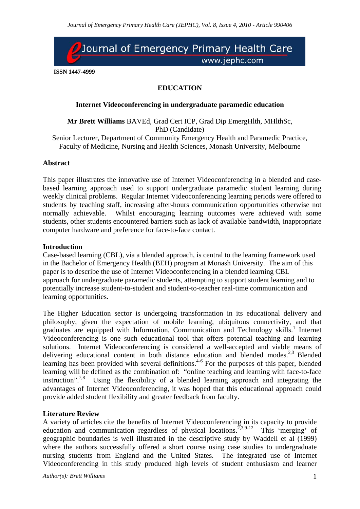

**ISSN 1447-4999** 

# **EDUCATION**

## **Internet Videoconferencing in undergraduate paramedic education**

**Mr Brett Williams** BAVEd, Grad Cert ICP, Grad Dip EmergHlth, MHlthSc, PhD (Candidate)

Senior Lecturer, Department of Community Emergency Health and Paramedic Practice, Faculty of Medicine, Nursing and Health Sciences, Monash University, Melbourne

## **Abstract**

This paper illustrates the innovative use of Internet Videoconferencing in a blended and casebased learning approach used to support undergraduate paramedic student learning during weekly clinical problems. Regular Internet Videoconferencing learning periods were offered to students by teaching staff, increasing after-hours communication opportunities otherwise not normally achievable. Whilst encouraging learning outcomes were achieved with some students, other students encountered barriers such as lack of available bandwidth, inappropriate computer hardware and preference for face-to-face contact.

### **Introduction**

Case-based learning (CBL), via a blended approach, is central to the learning framework used in the Bachelor of Emergency Health (BEH) program at Monash University. The aim of this paper is to describe the use of Internet Videoconferencing in a blended learning CBL approach for undergraduate paramedic students, attempting to support student learning and to potentially increase student-to-student and student-to-teacher real-time communication and learning opportunities.

The Higher Education sector is undergoing transformation in its educational delivery and philosophy, given the expectation of mobile learning, ubiquitous connectivity, and that graduates are equipped with Information, Communication and Technology skills.<sup>1</sup> Internet Videoconferencing is one such educational tool that offers potential teaching and learning solutions. Internet Videoconferencing is considered a well-accepted and viable means of delivering educational content in both distance education and blended modes.<sup>2,3</sup> Blended learning has been provided with several definitions.<sup>4-6</sup> For the purposes of this paper, blended learning will be defined as the combination of: "online teaching and learning with face-to-face instruction".<sup>7,8</sup> Using the flexibility of a blended learning approach and integrating the advantages of Internet Videoconferencing, it was hoped that this educational approach could provide added student flexibility and greater feedback from faculty.

### **Literature Review**

A variety of articles cite the benefits of Internet Videoconferencing in its capacity to provide education and communication regardless of physical locations.<sup>2,3,9-12</sup> This 'merging' of geographic boundaries is well illustrated in the descriptive study by Waddell et al (1999) where the authors successfully offered a short course using case studies to undergraduate nursing students from England and the United States. The integrated use of Internet Videoconferencing in this study produced high levels of student enthusiasm and learner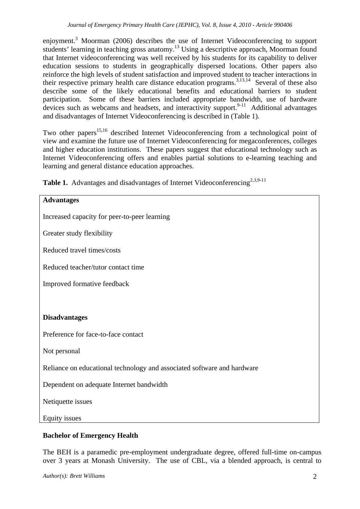enjoyment.<sup>3</sup> Moorman (2006) describes the use of Internet Videoconferencing to support students' learning in teaching gross anatomy.<sup>13</sup> Using a descriptive approach, Moorman found that Internet videoconferencing was well received by his students for its capability to deliver education sessions to students in geographically dispersed locations. Other papers also reinforce the high levels of student satisfaction and improved student to teacher interactions in their respective primary health care distance education programs.<sup>3,13,14</sup> Several of these also describe some of the likely educational benefits and educational barriers to student participation. Some of these barriers included appropriate bandwidth, use of hardware devices such as webcams and headsets, and interactivity support.  $9-11$  Additional advantages and disadvantages of Internet Videoconferencing is described in (Table 1).

Two other papers<sup>15,16</sup> described Internet Videoconferencing from a technological point of view and examine the future use of Internet Videoconferencing for megaconferences, colleges and higher education institutions. These papers suggest that educational technology such as Internet Videoconferencing offers and enables partial solutions to e-learning teaching and learning and general distance education approaches.

| <b>Advantages</b>                                                       |
|-------------------------------------------------------------------------|
| Increased capacity for peer-to-peer learning                            |
| Greater study flexibility                                               |
| Reduced travel times/costs                                              |
| Reduced teacher/tutor contact time                                      |
| Improved formative feedback                                             |
|                                                                         |
| <b>Disadvantages</b>                                                    |
| Preference for face-to-face contact                                     |
| Not personal                                                            |
| Reliance on educational technology and associated software and hardware |
| Dependent on adequate Internet bandwidth                                |
| Netiquette issues                                                       |
| Equity issues                                                           |

Table 1. Advantages and disadvantages of Internet Videoconferencing<sup>2,3,9-11</sup>

# **Bachelor of Emergency Health**

The BEH is a paramedic pre-employment undergraduate degree, offered full-time on-campus over 3 years at Monash University. The use of CBL, via a blended approach, is central to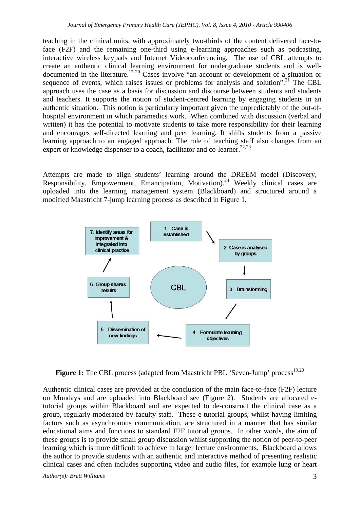teaching in the clinical units, with approximately two-thirds of the content delivered face-toface (F2F) and the remaining one-third using e-learning approaches such as podcasting, interactive wireless keypads and Internet Videoconferencing. The use of CBL attempts to create an authentic clinical learning environment for undergraduate students and is welldocumented in the literature.<sup>17-20</sup> Cases involve "an account or development of a situation or sequence of events, which raises issues or problems for analysis and solution".<sup>21</sup> The CBL approach uses the case as a basis for discussion and discourse between students and students and teachers. It supports the notion of student-centred learning by engaging students in an authentic situation. This notion is particularly important given the unpredictably of the out-ofhospital environment in which paramedics work. When combined with discussion (verbal and written) it has the potential to motivate students to take more responsibility for their learning and encourages self-directed learning and peer learning. It shifts students from a passive learning approach to an engaged approach. The role of teaching staff also changes from an expert or knowledge dispenser to a coach, facilitator and co-learner.<sup>22,23</sup>

Attempts are made to align students' learning around the DREEM model (Discovery, Responsibility, Empowerment, Emancipation, Motivation).<sup>24</sup> Weekly clinical cases are uploaded into the learning management system (Blackboard) and structured around a modified Maastricht 7-jump learning process as described in Figure 1.



Figure 1: The CBL process (adapted from Maastricht PBL 'Seven-Jump' process<sup>19,20</sup>

Authentic clinical cases are provided at the conclusion of the main face-to-face (F2F) lecture on Mondays and are uploaded into Blackboard see (Figure 2). Students are allocated etutorial groups within Blackboard and are expected to de-construct the clinical case as a group, regularly moderated by faculty staff. These e-tutorial groups, whilst having limiting factors such as asynchronous communication, are structured in a manner that has similar educational aims and functions to standard F2F tutorial groups. In other words, the aim of these groups is to provide small group discussion whilst supporting the notion of peer-to-peer learning which is more difficult to achieve in larger lecture environments. Blackboard allows the author to provide students with an authentic and interactive method of presenting realistic clinical cases and often includes supporting video and audio files, for example lung or heart

*Author(s): Brett Williams* 3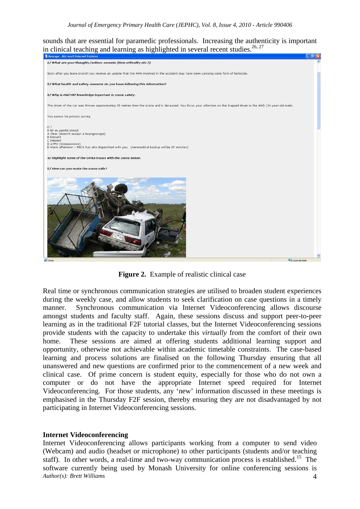sounds that are essential for paramedic professionals. Increasing the authenticity is important in clinical teaching and learning as highlighted in several recent studies.<sup>26, 27</sup>



**Figure 2.** Example of realistic clinical case

Real time or synchronous communication strategies are utilised to broaden student experiences during the weekly case, and allow students to seek clarification on case questions in a timely manner. Synchronous communication via Internet Videoconferencing allows discourse amongst students and faculty staff. Again, these sessions discuss and support peer-to-peer learning as in the traditional F2F tutorial classes, but the Internet Videoconferencing sessions provide students with the capacity to undertake this *virtually* from the comfort of their own home. These sessions are aimed at offering students additional learning support and opportunity, otherwise not achievable within academic timetable constraints. The case-based learning and process solutions are finalised on the following Thursday ensuring that all unanswered and new questions are confirmed prior to the commencement of a new week and clinical case. Of prime concern is student equity, especially for those who do not own a computer or do not have the appropriate Internet speed required for Internet Videoconferencing. For those students, any 'new' information discussed in these meetings is emphasised in the Thursday F2F session, thereby ensuring they are not disadvantaged by not participating in Internet Videoconferencing sessions.

#### **Internet Videoconferencing**

*Author(s): Brett Williams* 4 Internet Videoconferencing allows participants working from a computer to send video (Webcam) and audio (headset or microphone) to other participants (students and/or teaching staff). In other words, a real-time and two-way communication process is established.<sup>15</sup> The software currently being used by Monash University for online conferencing sessions is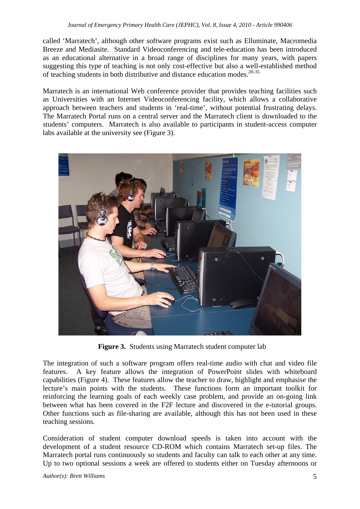called 'Marratech', although other software programs exist such as Elluminate, Macromedia Breeze and Mediasite. Standard Videoconferencing and tele-education has been introduced as an educational alternative in a broad range of disciplines for many years, with papers suggesting this type of teaching is not only cost-effective but also a well-established method of teaching students in both distributive and distance education modes.<sup>28-35</sup>

Marratech is an international Web conference provider that provides teaching facilities such as Universities with an Internet Videoconferencing facility, which allows a collaborative approach between teachers and students in 'real-time', without potential frustrating delays. The Marratech Portal runs on a central server and the Marratech client is downloaded to the students' computers. Marratech is also available to participants in student-access computer labs available at the university see (Figure 3).



Figure 3. Students using Marratech student computer lab

The integration of such a software program offers real-time audio with chat and video file features. A key feature allows the integration of PowerPoint slides with whiteboard capabilities (Figure 4). These features allow the teacher to draw, highlight and emphasise the lecture's main points with the students. These functions form an important toolkit for reinforcing the learning goals of each weekly case problem, and provide an on-going link between what has been covered in the F2F lecture and discovered in the e-tutorial groups. Other functions such as file-sharing are available, although this has not been used in these teaching sessions.

Consideration of student computer download speeds is taken into account with the development of a student resource CD-ROM which contains Marratech set-up files. The Marratech portal runs continuously so students and faculty can talk to each other at any time. Up to two optional sessions a week are offered to students either on Tuesday afternoons or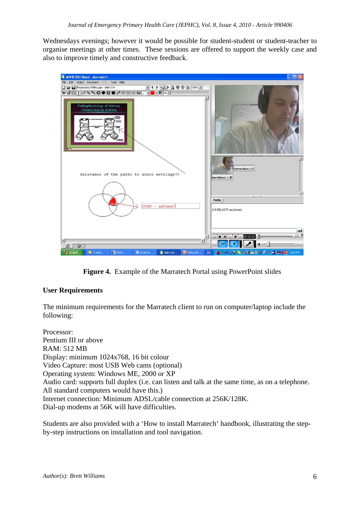Wednesdays evenings; however it would be possible for student-student or student-teacher to organise meetings at other times. These sessions are offered to support the weekly case and also to improve timely and constructive feedback.



**Figure 4.** Example of the Marratech Portal using PowerPoint slides

# **User Requirements**

The minimum requirements for the Marratech client to run on computer/laptop include the following:

Processor: Pentium III or above RAM: 512 MB Display: minimum 1024x768, 16 bit colour Video Capture: most USB Web cams (optional) Operating system: Windows ME, 2000 or XP Audio card: supports full duplex (i.e. can listen and talk at the same time, as on a telephone. All standard computers would have this.) Internet connection: Minimum ADSL/cable connection at 256K/128K. Dial-up modems at 56K will have difficulties.

Students are also provided with a 'How to install Marratech' handbook, illustrating the stepby-step instructions on installation and tool navigation.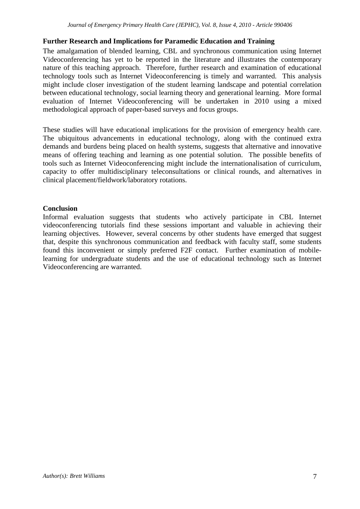# **Further Research and Implications for Paramedic Education and Training**

The amalgamation of blended learning, CBL and synchronous communication using Internet Videoconferencing has yet to be reported in the literature and illustrates the contemporary nature of this teaching approach. Therefore, further research and examination of educational technology tools such as Internet Videoconferencing is timely and warranted. This analysis might include closer investigation of the student learning landscape and potential correlation between educational technology, social learning theory and generational learning. More formal evaluation of Internet Videoconferencing will be undertaken in 2010 using a mixed methodological approach of paper-based surveys and focus groups.

These studies will have educational implications for the provision of emergency health care. The ubiquitous advancements in educational technology, along with the continued extra demands and burdens being placed on health systems, suggests that alternative and innovative means of offering teaching and learning as one potential solution. The possible benefits of tools such as Internet Videoconferencing might include the internationalisation of curriculum, capacity to offer multidisciplinary teleconsultations or clinical rounds, and alternatives in clinical placement/fieldwork/laboratory rotations.

# **Conclusion**

Informal evaluation suggests that students who actively participate in CBL Internet videoconferencing tutorials find these sessions important and valuable in achieving their learning objectives. However, several concerns by other students have emerged that suggest that, despite this synchronous communication and feedback with faculty staff, some students found this inconvenient or simply preferred F2F contact. Further examination of mobilelearning for undergraduate students and the use of educational technology such as Internet Videoconferencing are warranted.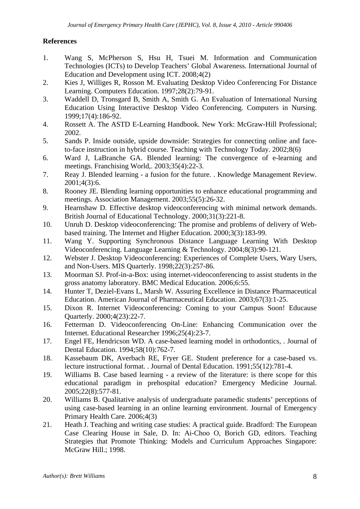# **References**

- 1. Wang S, McPherson S, Hsu H, Tsuei M. Information and Communication Technologies (ICTs) to Develop Teachers' Global Awareness. International Journal of Education and Development using ICT. 2008;4(2)
- 2. Kies J, Williges R, Rosson M. Evaluating Desktop Video Conferencing For Distance Learning. Computers Education. 1997;28(2):79-91.
- 3. Waddell D, Tronsgard B, Smith A, Smith G. An Evaluation of International Nursing Education Using Interactive Desktop Video Conferencing. Computers in Nursing. 1999;17(4):186-92.
- 4. Rossett A. The ASTD E-Learning Handbook. New York: McGraw-Hill Professional; 2002.
- 5. Sands P. Inside outside, upside downside: Strategies for connecting online and faceto-face instruction in hybrid course. Teaching with Technology Today. 2002;8(6)
- 6. Ward J, LaBranche GA. Blended learning: The convergence of e-learning and meetings. Franchising World,. 2003;35(4):22-3.
- 7. Reay J. Blended learning a fusion for the future. . Knowledge Management Review. 2001;4(3):6.
- 8. Rooney JE. Blending learning opportunities to enhance educational programming and meetings. Association Management. 2003;55(5):26-32.
- 9. Hearnshaw D. Effective desktop videoconferencing with minimal network demands. British Journal of Educational Technology. 2000;31(3):221-8.
- 10. Unruh D. Desktop videoconferencing: The promise and problems of delivery of Webbased training. The Internet and Higher Education. 2000;3(3):183-99.
- 11. Wang Y. Supporting Synchronous Distance Language Learning With Desktop Videoconferencing. Language Learning & Technology. 2004;8(3):90-121.
- 12. Webster J. Desktop Videoconferencing: Experiences of Complete Users, Wary Users, and Non-Users. MIS Quarterly. 1998;22(3):257-86.
- 13. Moorman SJ. Prof-in-a-Box: using internet-videoconferencing to assist students in the gross anatomy laboratory. BMC Medical Education. 2006;6:55.
- 14. Hunter T, Deziel-Evans L, Marsh W. Assuring Excellence in Distance Pharmaceutical Education. American Journal of Pharmaceutical Education. 2003;67(3):1-25.
- 15. Dixon R. Internet Videoconferencing: Coming to your Campus Soon! Educause Quarterly. 2000;4(23):22-7.
- 16. Fetterman D. Videoconferencing On-Line: Enhancing Communication over the Internet. Educational Researcher 1996;25(4):23-7.
- 17. Engel FE, Hendricson WD. A case-based learning model in orthodontics, . Journal of Dental Education. 1994;58(10):762-7.
- 18. Kassebaum DK, Averbach RE, Fryer GE. Student preference for a case-based vs. lecture instructional format. . Journal of Dental Education. 1991;55(12):781-4.
- 19. Williams B. Case based learning a review of the literature: is there scope for this educational paradigm in prehospital education? Emergency Medicine Journal. 2005;22(8):577-81.
- 20. Williams B. Qualitative analysis of undergraduate paramedic students' perceptions of using case-based learning in an online learning environment. Journal of Emergency Primary Health Care. 2006;4(3)
- 21. Heath J. Teaching and writing case studies: A practical guide. Bradford: The European Case Clearing House in Sale, D. In: Ai-Choo O, Borich GD, editors. Teaching Strategies that Promote Thinking: Models and Curriculum Approaches Singapore: McGraw Hill.; 1998.